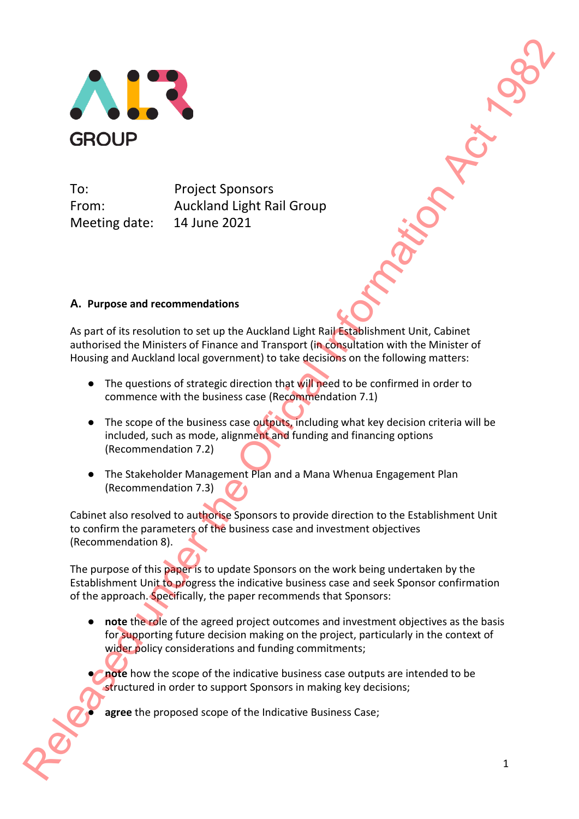

To: Project Sponsors From: Auckland Light Rail Group Meeting date: 14 June 2021

# **A. Purpose and recommendations**

As part of its resolution to set up the Auckland Light Rail Establishment Unit, Cabinet authorised the Ministers of Finance and Transport (in consultation with the Minister of Housing and Auckland local government) to take decisions on the following matters:

- The questions of strategic direction that will need to be confirmed in order to commence with the business case (Recommendation 7.1)
- The scope of the business case outputs, including what key decision criteria will be included, such as mode, alignment and funding and financing options (Recommendation 7.2)
- The Stakeholder Management Plan and a Mana Whenua Engagement Plan (Recommendation 7.3)

Cabinet also resolved to authorise Sponsors to provide direction to the Establishment Unit to confirm the parameters of the business case and investment objectives (Recommendation 8).

The purpose of this paper is to update Sponsors on the work being undertaken by the Establishment Unit to progress the indicative business case and seek Sponsor confirmation of the approach. Specifically, the paper recommends that Sponsors:

- **note** the role of the agreed project outcomes and investment objectives as the basis for supporting future decision making on the project, particularly in the context of wider policy considerations and funding commitments; To:<br>
To:<br>
To:<br>
To:<br>
Release the Official Information of the Officer Sponsors<br>
Actional Office III distinguished Unit Release of Total Information Act 1982<br>
A. Purpose and recommendations<br>
As part of the resolution to set
	- **note** how the scope of the indicative business case outputs are intended to be structured in order to support Sponsors in making key decisions;

agree the proposed scope of the Indicative Business Case;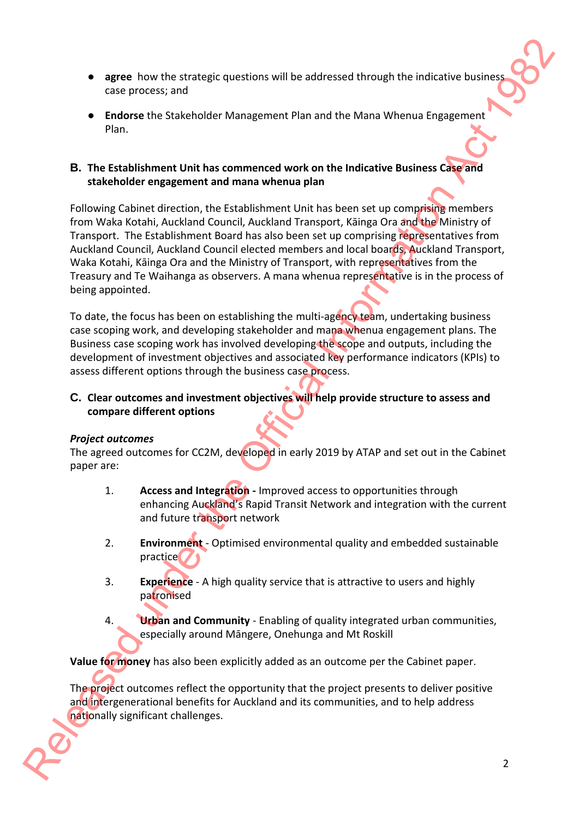- **agree** how the strategic questions will be addressed through the indicative business case process; and
- **Endorse** the Stakeholder Management Plan and the Mana Whenua Engagement Plan.

### **B. The Establishment Unit has commenced work on the Indicative Business Case and stakeholder engagement and mana whenua plan**

Following Cabinet direction, the Establishment Unit has been set up comprising members from Waka Kotahi, Auckland Council, Auckland Transport, Kāinga Ora and the Ministry of Transport. The Establishment Board has also been set up comprising representatives from Auckland Council, Auckland Council elected members and local boards, Auckland Transport, Waka Kotahi, Kāinga Ora and the Ministry of Transport, with representatives from the Treasury and Te Waihanga as observers. A mana whenua representative is in the process of being appointed. e agree how the state<br>plots and the distinction will be additioned through the indicative business.<br>
E. The Establishment Unit has commenced work on the Indicative Business Channel Plan and the Mana Whenus Engagement and m

To date, the focus has been on establishing the multi-agency team, undertaking business case scoping work, and developing stakeholder and mana whenua engagement plans. The Business case scoping work has involved developing the scope and outputs, including the development of investment objectives and associated key performance indicators (KPIs) to assess different options through the business case process.

# **C. Clear outcomes and investment objectives will help provide structure to assess and compare different options**

# *Project outcomes*

The agreed outcomes for CC2M, developed in early 2019 by ATAP and set out in the Cabinet paper are:

- 1. **Access and Integration -** Improved access to opportunities through enhancing Auckland's Rapid Transit Network and integration with the current and future transport network
- 2. **Environment** Optimised environmental quality and embedded sustainable practice
- 3. **Experience** A high quality service that is attractive to users and highly patronised
- 4. **Urban and Community** Enabling of quality integrated urban communities, especially around Māngere, Onehunga and Mt Roskill

**Value for money** has also been explicitly added as an outcome per the Cabinet paper.

The project outcomes reflect the opportunity that the project presents to deliver positive and intergenerational benefits for Auckland and its communities, and to help address nationally significant challenges.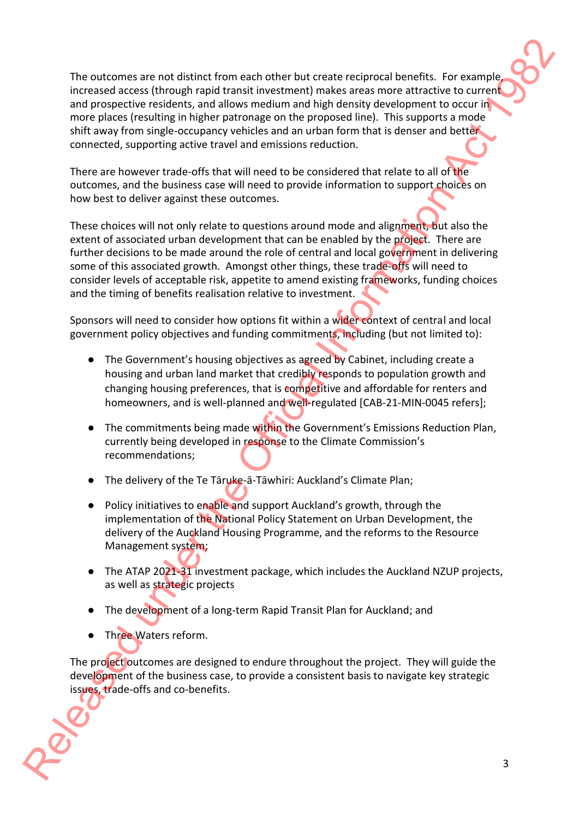The outcomes are not distinct from each other but create reciprocal benefits. For example, increased access (through rapid transit investment) makes areas more attractive to current and prospective residents, and allows medium and high density development to occur in more places (resulting in higher patronage on the proposed line). This supports a mode shift away from single-occupancy vehicles and an urban form that is denser and better connected, supporting active travel and emissions reduction. The putrones are not distinct from each titler but croste reciprocal benefits. For example incomends access through rand transit investigation (and the Official Information Act 1982) and the Official Information Act 1982 a

There are however trade-offs that will need to be considered that relate to all of the outcomes, and the business case will need to provide information to support choices on how best to deliver against these outcomes.

These choices will not only relate to questions around mode and alignment, but also the extent of associated urban development that can be enabled by the project. There are further decisions to be made around the role of central and local government in delivering some of this associated growth. Amongst other things, these trade-offs will need to consider levels of acceptable risk, appetite to amend existing frameworks, funding choices and the timing of benefits realisation relative to investment.

Sponsors will need to consider how options fit within a wider context of central and local government policy objectives and funding commitments, including (but not limited to):

- The Government's housing objectives as agreed by Cabinet, including create a housing and urban land market that credibly responds to population growth and changing housing preferences, that is competitive and affordable for renters and homeowners, and is well-planned and well-regulated [CAB-21-MIN-0045 refers];
- The commitments being made within the Government's Emissions Reduction Plan, currently being developed in response to the Climate Commission's recommendations;
- The delivery of the Te Tāruke-ā-Tāwhiri: Auckland's Climate Plan;
- Policy initiatives to enable and support Auckland's growth, through the implementation of the National Policy Statement on Urban Development, the delivery of the Auckland Housing Programme, and the reforms to the Resource Management system;
- The ATAP 2021-31 investment package, which includes the Auckland NZUP projects, as well as strategic projects
- The development of a long-term Rapid Transit Plan for Auckland; and
- Three Waters reform.

The project outcomes are designed to endure throughout the project. They will guide the development of the business case, to provide a consistent basis to navigate key strategic issues, trade-offs and co-benefits.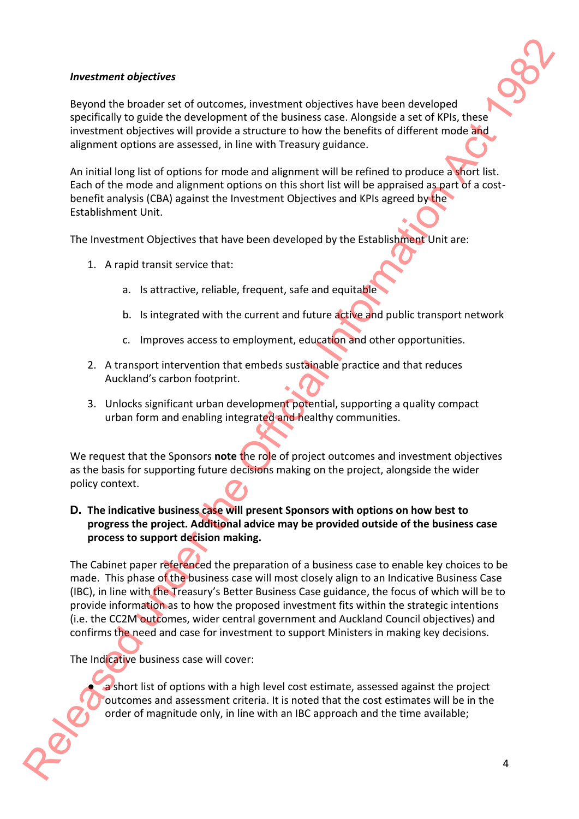#### *Investment objectives*

Beyond the broader set of outcomes, investment objectives have been developed specifically to guide the development of the business case. Alongside a set of KPIs, these investment objectives will provide a structure to how the benefits of different mode and alignment options are assessed, in line with Treasury guidance.

An initial long list of options for mode and alignment will be refined to produce a short list. Each of the mode and alignment options on this short list will be appraised as part of a costbenefit analysis (CBA) against the Investment Objectives and KPIs agreed by the Establishment Unit.

The Investment Objectives that have been developed by the Establishment Unit are:

- 1. A rapid transit service that:
	- a. Is attractive, reliable, frequent, safe and equitable
	- b. Is integrated with the current and future active and public transport network
	- c. Improves access to employment, education and other opportunities.
- 2. A transport intervention that embeds sustainable practice and that reduces Auckland's carbon footprint.
- 3. Unlocks significant urban development potential, supporting a quality compact urban form and enabling integrated and healthy communities.

We request that the Sponsors **note** the role of project outcomes and investment objectives as the basis for supporting future decisions making on the project, alongside the wider policy context.

# **D. The indicative business case will present Sponsors with options on how best to progress the project. Additional advice may be provided outside of the business case process to support decision making.**

The Cabinet paper referenced the preparation of a business case to enable key choices to be made. This phase of the business case will most closely align to an Indicative Business Case (IBC), in line with the Treasury's Better Business Case guidance, the focus of which will be to provide information as to how the proposed investment fits within the strategic intentions (i.e. the CC2M outcomes, wider central government and Auckland Council objectives) and confirms the need and case for investment to support Ministers in making key decisions. Released and the broaden is the distinction of the broaden is the control of the Chinachiese Control of the Chinachiese Control of the Chinachiese Control of the Chinachiese Control of the Chinachiese Control of the China

The Indicative business case will cover:

a short list of options with a high level cost estimate, assessed against the project outcomes and assessment criteria. It is noted that the cost estimates will be in the order of magnitude only, in line with an IBC approach and the time available;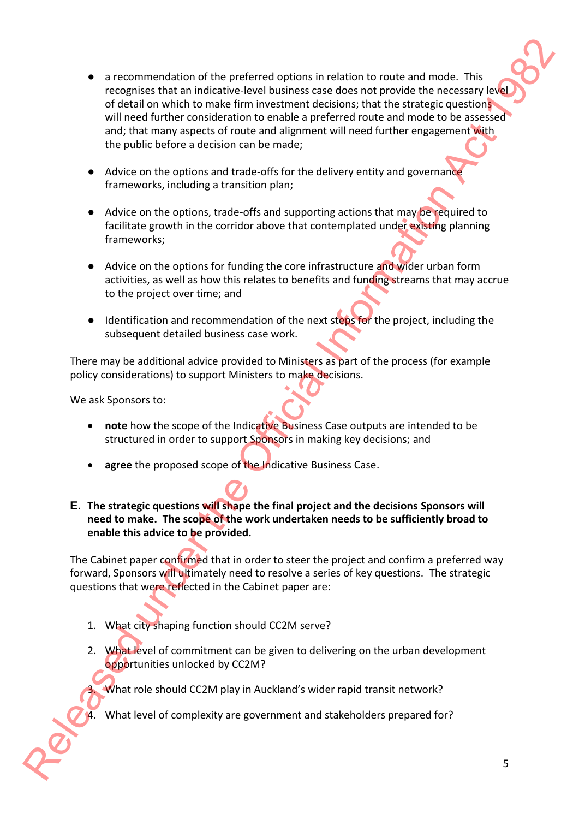- a recommendation of the preferred options in relation to route and mode. This recognises that an indicative-level business case does not provide the necessary level of detail on which to make firm investment decisions; that the strategic questions will need further consideration to enable a preferred route and mode to be assessed and; that many aspects of route and alignment will need further engagement with the public before a decision can be made; e a recommendation of the preferred coptions in relation to note and mode. This incompassion that an institutive intermediations can do note to the antical V-1982<br>
of the official Information Act 1982 (of the Official Info
	- Advice on the options and trade-offs for the delivery entity and governance frameworks, including a transition plan;
	- Advice on the options, trade-offs and supporting actions that may be required to facilitate growth in the corridor above that contemplated under existing planning frameworks;
	- Advice on the options for funding the core infrastructure and wider urban form activities, as well as how this relates to benefits and funding streams that may accrue to the project over time; and
	- Identification and recommendation of the next steps for the project, including the subsequent detailed business case work.

There may be additional advice provided to Ministers as part of the process (for example policy considerations) to support Ministers to make decisions.

We ask Sponsors to:

- **note** how the scope of the Indicative Business Case outputs are intended to be structured in order to support Sponsors in making key decisions; and
- **agree** the proposed scope of the Indicative Business Case.
- **E. The strategic questions will shape the final project and the decisions Sponsors will need to make. The scope of the work undertaken needs to be sufficiently broad to enable this advice to be provided.**

The Cabinet paper confirmed that in order to steer the project and confirm a preferred way forward, Sponsors will ultimately need to resolve a series of key questions. The strategic questions that were reflected in the Cabinet paper are:

- 1. What city shaping function should CC2M serve?
- 2. What level of commitment can be given to delivering on the urban development opportunities unlocked by CC2M?

What role should CC2M play in Auckland's wider rapid transit network?

What level of complexity are government and stakeholders prepared for?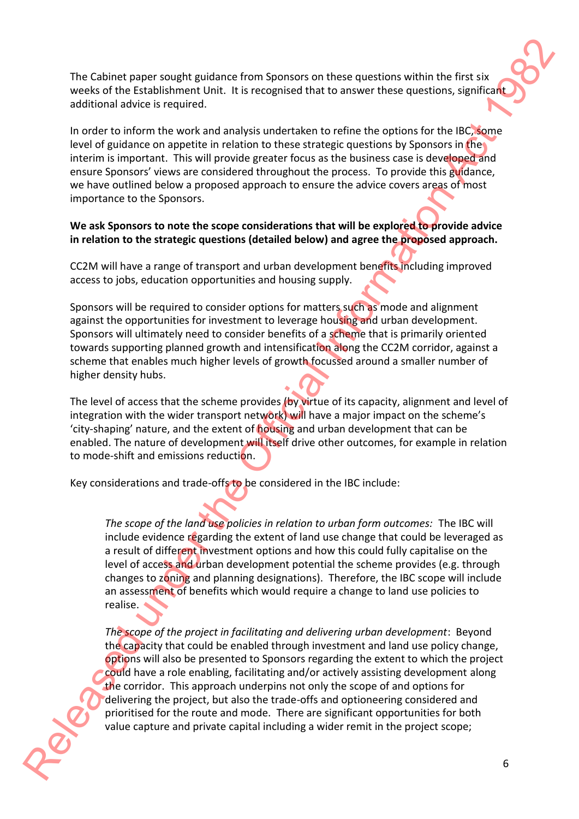The Cabinet paper sought guidance from Sponsors on these questions within the first six weeks of the Establishment Unit. It is recognised that to answer these questions, significant additional advice is required.

In order to inform the work and analysis undertaken to refine the options for the IBC, some level of guidance on appetite in relation to these strategic questions by Sponsors in the interim is important. This will provide greater focus as the business case is developed and ensure Sponsors' views are considered throughout the process. To provide this guidance, we have outlined below a proposed approach to ensure the advice covers areas of most importance to the Sponsors.

### **We ask Sponsors to note the scope considerations that will be explored to provide advice in relation to the strategic questions (detailed below) and agree the proposed approach.**

CC2M will have a range of transport and urban development benefits including improved access to jobs, education opportunities and housing supply.

Sponsors will be required to consider options for matters such as mode and alignment against the opportunities for investment to leverage housing and urban development. Sponsors will ultimately need to consider benefits of a scheme that is primarily oriented towards supporting planned growth and intensification along the CC2M corridor, against a scheme that enables much higher levels of growth focussed around a smaller number of higher density hubs.

The level of access that the scheme provides (by virtue of its capacity, alignment and level of integration with the wider transport network) will have a major impact on the scheme's 'city-shaping' nature, and the extent of housing and urban development that can be enabled. The nature of development will itself drive other outcomes, for example in relation to mode-shift and emissions reduction.

Key considerations and trade-offs to be considered in the IBC include:

*The scope of the land use policies in relation to urban form outcomes:* The IBC will include evidence regarding the extent of land use change that could be leveraged as a result of different investment options and how this could fully capitalise on the level of access and urban development potential the scheme provides (e.g. through changes to zoning and planning designations). Therefore, the IBC scope will include an assessment of benefits which would require a change to land use policies to realise.

*The scope of the project in facilitating and delivering urban development*: Beyond the capacity that could be enabled through investment and land use policy change, options will also be presented to Sponsors regarding the extent to which the project could have a role enabling, facilitating and/or actively assisting development along the corridor. This approach underpins not only the scope of and options for delivering the project, but also the trade-offs and optioneering considered and prioritised for the route and mode. There are significant opportunities for both value capture and private capital including a wider remit in the project scope; The Cabinet paper sought guidance from Sponsors on these equations within the first is seen when the Cabinet serves of the Cabinet serves of the Cabinet serves of the Cabinet serves of the Cabinet serves of the Cabinet se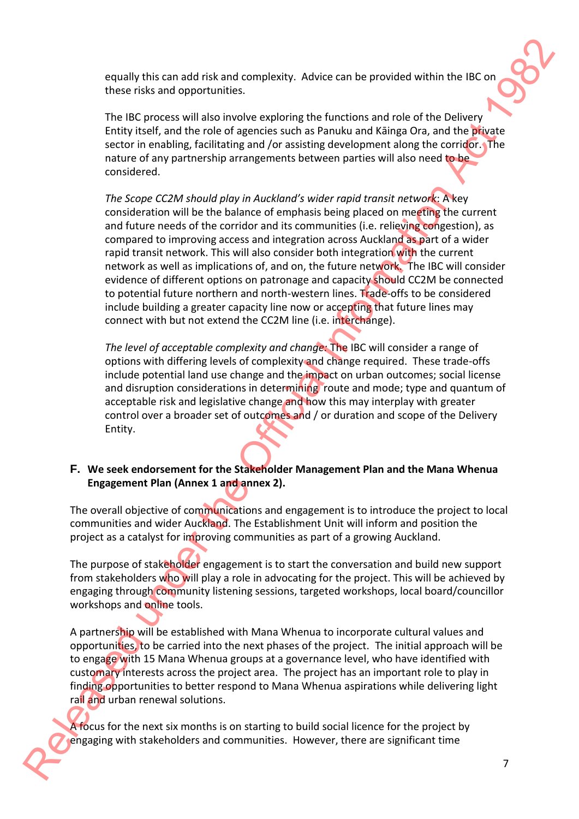equally this can add risk and complexity. Advice can be provided within the IBC on these risks and opportunities.

The IBC process will also involve exploring the functions and role of the Delivery Entity itself, and the role of agencies such as Panuku and Kāinga Ora, and the private sector in enabling, facilitating and /or assisting development along the corridor. The nature of any partnership arrangements between parties will also need to be considered.

*The Scope CC2M should play in Auckland's wider rapid transit network*: A key consideration will be the balance of emphasis being placed on meeting the current and future needs of the corridor and its communities (i.e. relieving congestion), as compared to improving access and integration across Auckland as part of a wider rapid transit network. This will also consider both integration with the current network as well as implications of, and on, the future network. The IBC will consider evidence of different options on patronage and capacity should CC2M be connected to potential future northern and north-western lines. Trade-offs to be considered include building a greater capacity line now or accepting that future lines may connect with but not extend the CC2M line (i.e. interchange). requality link can addrive and oppleristy. Advior can be provided within the BC-on<br>these risks and opportunities.<br>The EC process will also involve equivalently the factors and role of the Dietyco-<br>EC Carty lied, and the re

*The level of acceptable complexity and change:* The IBC will consider a range of options with differing levels of complexity and change required. These trade-offs include potential land use change and the impact on urban outcomes; social license and disruption considerations in determining route and mode; type and quantum of acceptable risk and legislative change and how this may interplay with greater control over a broader set of outcomes and / or duration and scope of the Delivery Entity.

### **F. We seek endorsement for the Stakeholder Management Plan and the Mana Whenua Engagement Plan (Annex 1 and annex 2).**

The overall objective of communications and engagement is to introduce the project to local communities and wider Auckland. The Establishment Unit will inform and position the project as a catalyst for improving communities as part of a growing Auckland.

The purpose of stakeholder engagement is to start the conversation and build new support from stakeholders who will play a role in advocating for the project. This will be achieved by engaging through community listening sessions, targeted workshops, local board/councillor workshops and online tools.

A partnership will be established with Mana Whenua to incorporate cultural values and opportunities, to be carried into the next phases of the project. The initial approach will be to engage with 15 Mana Whenua groups at a governance level, who have identified with customary interests across the project area. The project has an important role to play in finding opportunities to better respond to Mana Whenua aspirations while delivering light rail and urban renewal solutions.

A focus for the next six months is on starting to build social licence for the project by engaging with stakeholders and communities. However, there are significant time